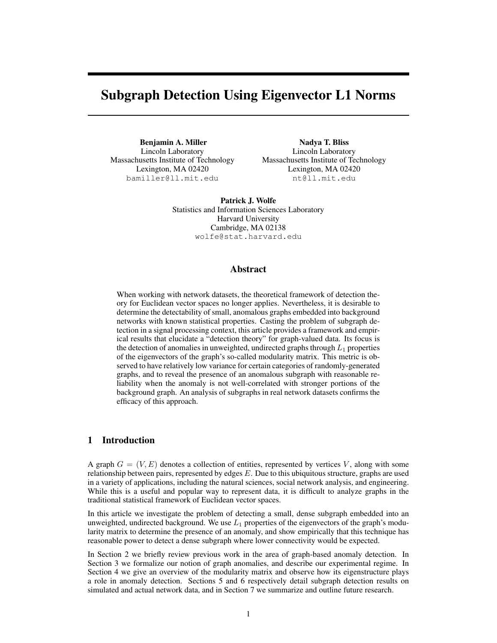# Subgraph Detection Using Eigenvector L1 Norms

Benjamin A. Miller Lincoln Laboratory Massachusetts Institute of Technology Lexington, MA 02420 bamiller@ll.mit.edu

Nadya T. Bliss Lincoln Laboratory Massachusetts Institute of Technology Lexington, MA 02420 nt@ll.mit.edu

Patrick J. Wolfe Statistics and Information Sciences Laboratory Harvard University Cambridge, MA 02138 wolfe@stat.harvard.edu

## Abstract

When working with network datasets, the theoretical framework of detection theory for Euclidean vector spaces no longer applies. Nevertheless, it is desirable to determine the detectability of small, anomalous graphs embedded into background networks with known statistical properties. Casting the problem of subgraph detection in a signal processing context, this article provides a framework and empirical results that elucidate a "detection theory" for graph-valued data. Its focus is the detection of anomalies in unweighted, undirected graphs through  $L_1$  properties of the eigenvectors of the graph's so-called modularity matrix. This metric is observed to have relatively low variance for certain categories of randomly-generated graphs, and to reveal the presence of an anomalous subgraph with reasonable reliability when the anomaly is not well-correlated with stronger portions of the background graph. An analysis of subgraphs in real network datasets confirms the efficacy of this approach.

## 1 Introduction

A graph  $G = (V, E)$  denotes a collection of entities, represented by vertices V, along with some relationship between pairs, represented by edges  $E$ . Due to this ubiquitous structure, graphs are used in a variety of applications, including the natural sciences, social network analysis, and engineering. While this is a useful and popular way to represent data, it is difficult to analyze graphs in the traditional statistical framework of Euclidean vector spaces.

In this article we investigate the problem of detecting a small, dense subgraph embedded into an unweighted, undirected background. We use  $L_1$  properties of the eigenvectors of the graph's modularity matrix to determine the presence of an anomaly, and show empirically that this technique has reasonable power to detect a dense subgraph where lower connectivity would be expected.

In Section 2 we briefly review previous work in the area of graph-based anomaly detection. In Section 3 we formalize our notion of graph anomalies, and describe our experimental regime. In Section 4 we give an overview of the modularity matrix and observe how its eigenstructure plays a role in anomaly detection. Sections 5 and 6 respectively detail subgraph detection results on simulated and actual network data, and in Section 7 we summarize and outline future research.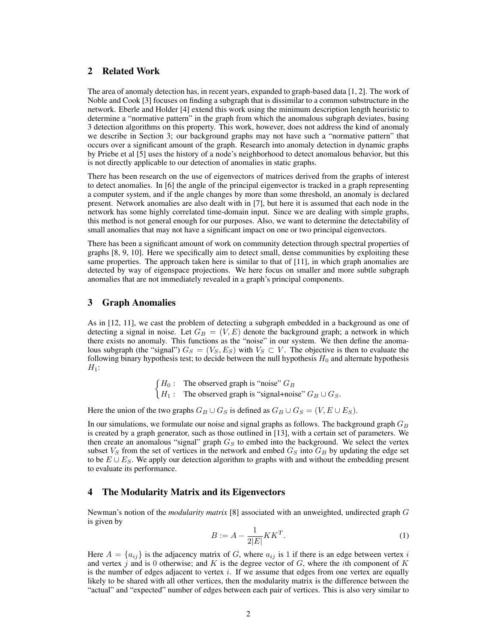# 2 Related Work

The area of anomaly detection has, in recent years, expanded to graph-based data [1, 2]. The work of Noble and Cook [3] focuses on finding a subgraph that is dissimilar to a common substructure in the network. Eberle and Holder [4] extend this work using the minimum description length heuristic to determine a "normative pattern" in the graph from which the anomalous subgraph deviates, basing 3 detection algorithms on this property. This work, however, does not address the kind of anomaly we describe in Section 3; our background graphs may not have such a "normative pattern" that occurs over a significant amount of the graph. Research into anomaly detection in dynamic graphs by Priebe et al [5] uses the history of a node's neighborhood to detect anomalous behavior, but this is not directly applicable to our detection of anomalies in static graphs.

There has been research on the use of eigenvectors of matrices derived from the graphs of interest to detect anomalies. In [6] the angle of the principal eigenvector is tracked in a graph representing a computer system, and if the angle changes by more than some threshold, an anomaly is declared present. Network anomalies are also dealt with in [7], but here it is assumed that each node in the network has some highly correlated time-domain input. Since we are dealing with simple graphs, this method is not general enough for our purposes. Also, we want to determine the detectability of small anomalies that may not have a significant impact on one or two principal eigenvectors.

There has been a significant amount of work on community detection through spectral properties of graphs [8, 9, 10]. Here we specifically aim to detect small, dense communities by exploiting these same properties. The approach taken here is similar to that of [11], in which graph anomalies are detected by way of eigenspace projections. We here focus on smaller and more subtle subgraph anomalies that are not immediately revealed in a graph's principal components.

### 3 Graph Anomalies

As in [12, 11], we cast the problem of detecting a subgraph embedded in a background as one of detecting a signal in noise. Let  $G_B = (V, E)$  denote the background graph; a network in which there exists no anomaly. This functions as the "noise" in our system. We then define the anomalous subgraph (the "signal")  $G_S = (V_S, E_S)$  with  $V_S \subset V$ . The objective is then to evaluate the following binary hypothesis test; to decide between the null hypothesis  $H_0$  and alternate hypothesis  $H_1$ :

> $\int H_0$ : The observed graph is "noise"  $G_B$  $H_1$ : The observed graph is "signal+noise"  $G_B \cup G_S$ .

Here the union of the two graphs  $G_B \cup G_S$  is defined as  $G_B \cup G_S = (V, E \cup E_S)$ .

In our simulations, we formulate our noise and signal graphs as follows. The background graph  $G_B$ is created by a graph generator, such as those outlined in [13], with a certain set of parameters. We then create an anomalous "signal" graph  $G<sub>S</sub>$  to embed into the background. We select the vertex subset  $V_S$  from the set of vertices in the network and embed  $G_S$  into  $G_B$  by updating the edge set to be  $E \cup E_S$ . We apply our detection algorithm to graphs with and without the embedding present to evaluate its performance.

## 4 The Modularity Matrix and its Eigenvectors

Newman's notion of the *modularity matrix* [8] associated with an unweighted, undirected graph G is given by

$$
B := A - \frac{1}{2|E|} KK^T.
$$
 (1)

Here  $A = \{a_{ij}\}\$ is the adjacency matrix of G, where  $a_{ij}$  is 1 if there is an edge between vertex i and vertex j and is 0 otherwise; and K is the degree vector of  $G$ , where the ith component of K is the number of edges adjacent to vertex  $i$ . If we assume that edges from one vertex are equally likely to be shared with all other vertices, then the modularity matrix is the difference between the "actual" and "expected" number of edges between each pair of vertices. This is also very similar to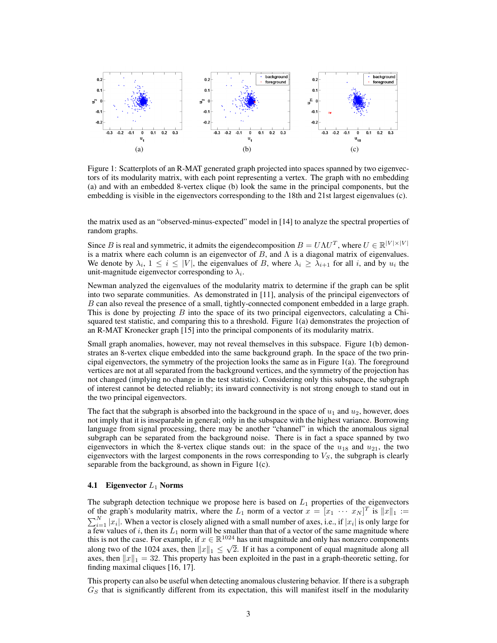

Figure 1: Scatterplots of an R-MAT generated graph projected into spaces spanned by two eigenvectors of its modularity matrix, with each point representing a vertex. The graph with no embedding (a) and with an embedded 8-vertex clique (b) look the same in the principal components, but the embedding is visible in the eigenvectors corresponding to the 18th and 21st largest eigenvalues (c).

the matrix used as an "observed-minus-expected" model in [14] to analyze the spectral properties of random graphs.

Since B is real and symmetric, it admits the eigendecomposition  $B = U\Lambda U^T$ , where  $U \in \mathbb{R}^{|V| \times |V|}$ is a matrix where each column is an eigenvector of  $B$ , and  $\Lambda$  is a diagonal matrix of eigenvalues. We denote by  $\lambda_i$ ,  $1 \leq i \leq |V|$ , the eigenvalues of B, where  $\lambda_i \geq \lambda_{i+1}$  for all i, and by  $u_i$  the unit-magnitude eigenvector corresponding to  $\lambda_i$ .

Newman analyzed the eigenvalues of the modularity matrix to determine if the graph can be split into two separate communities. As demonstrated in [11], analysis of the principal eigenvectors of B can also reveal the presence of a small, tightly-connected component embedded in a large graph. This is done by projecting  $B$  into the space of its two principal eigenvectors, calculating a Chisquared test statistic, and comparing this to a threshold. Figure 1(a) demonstrates the projection of an R-MAT Kronecker graph [15] into the principal components of its modularity matrix.

Small graph anomalies, however, may not reveal themselves in this subspace. Figure 1(b) demonstrates an 8-vertex clique embedded into the same background graph. In the space of the two principal eigenvectors, the symmetry of the projection looks the same as in Figure 1(a). The foreground vertices are not at all separated from the background vertices, and the symmetry of the projection has not changed (implying no change in the test statistic). Considering only this subspace, the subgraph of interest cannot be detected reliably; its inward connectivity is not strong enough to stand out in the two principal eigenvectors.

The fact that the subgraph is absorbed into the background in the space of  $u_1$  and  $u_2$ , however, does not imply that it is inseparable in general; only in the subspace with the highest variance. Borrowing language from signal processing, there may be another "channel" in which the anomalous signal subgraph can be separated from the background noise. There is in fact a space spanned by two eigenvectors in which the 8-vertex clique stands out: in the space of the  $u_{18}$  and  $u_{21}$ , the two eigenvectors with the largest components in the rows corresponding to  $V<sub>S</sub>$ , the subgraph is clearly separable from the background, as shown in Figure 1(c).

#### **4.1** Eigenvector  $L_1$  Norms

The subgraph detection technique we propose here is based on  $L_1$  properties of the eigenvectors of the graph's modularity matrix, where the  $L_1$  norm of a vector  $x = [x_1 \cdots x_N]^T$  is  $||x||_1 :=$  $\sum_{i=1}^{N} |x_i|$ . When a vector is closely aligned with a small number of axes, i.e., if  $|x_i|$  is only large for a few values of  $i$ , then its  $L_1$  norm will be smaller than that of a vector of the same magnitude where this is not the case. For example, if  $x \in \mathbb{R}^{1024}$  has unit magnitude and only has nonzero components along two of the 1024 axes, then  $||x||_1 \leq \sqrt{2}$ . If it has a component of equal magnitude along all axes, then  $||x||_1 = 32$ . This property has been exploited in the past in a graph-theoretic setting, for finding maximal cliques [16, 17].

This property can also be useful when detecting anomalous clustering behavior. If there is a subgraph  $G<sub>S</sub>$  that is significantly different from its expectation, this will manifest itself in the modularity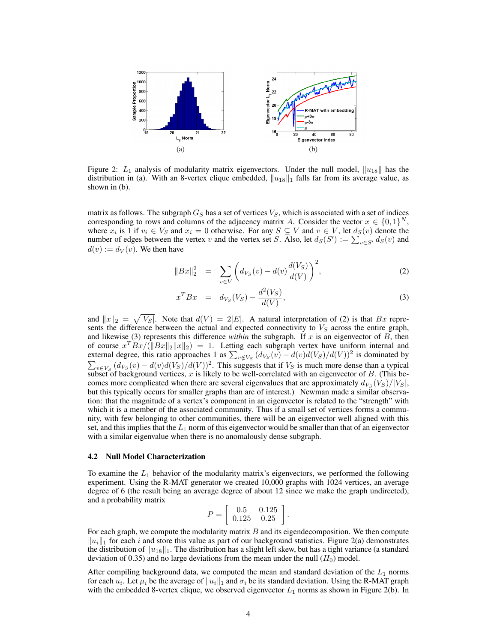

Figure 2:  $L_1$  analysis of modularity matrix eigenvectors. Under the null model,  $||u_{18}||$  has the distribution in (a). With an 8-vertex clique embedded,  $||u_{18}||_1$  falls far from its average value, as shown in (b).

matrix as follows. The subgraph  $G_S$  has a set of vertices  $V_S$ , which is associated with a set of indices corresponding to rows and columns of the adjacency matrix A. Consider the vector  $x \in \{0,1\}^N$ , where  $x_i$  is 1 if  $v_i \in V_S$  and  $x_i = 0$  otherwise. For any  $S \subseteq V$  and  $v \in V$ , let  $d_S(v)$  denote the number of edges between the vertex v and the vertex set S. Also, let  $d_S(S') := \sum_{v \in S'} d_S(v)$  and  $d(v) := d_V(v)$ . We then have

$$
||Bx||_2^2 = \sum_{v \in V} \left( d_{V_S}(v) - d(v) \frac{d(V_S)}{d(V)} \right)^2, \tag{2}
$$

$$
x^T B x = d_{V_S}(V_S) - \frac{d^2(V_S)}{d(V)},
$$
\n(3)

and  $||x||_2 = \sqrt{|V_S|}$ . Note that  $d(V) = 2|E|$ . A natural interpretation of (2) is that Bx represents the difference between the actual and expected connectivity to  $V_S$  across the entire graph, and likewise (3) represents this difference *within* the subgraph. If  $x$  is an eigenvector of  $B$ , then of course  $x^T Bx/(\Vert Bx\Vert_2 \Vert x\Vert_2) = 1$ . Letting each subgraph vertex have uniform internal and external degree, this ratio approaches 1 as  $\sum_{v \notin V_S} (d_{V_S}(v) - d(v)d(V_S)/d(V))^2$  is dominated by  $\sum_{v \in V_S} (d_{V_S}(v) - d(v)d(V_S)/d(V))^2$ . This suggests that if  $V_S$  is much more dense than a typical subset of background vertices, x is likely to be well-correlated with an eigenvector of  $B$ . (This becomes more complicated when there are several eigenvalues that are approximately  $d_{V_S}(V_S)/|V_S|$ , but this typically occurs for smaller graphs than are of interest.) Newman made a similar observation: that the magnitude of a vertex's component in an eigenvector is related to the "strength" with which it is a member of the associated community. Thus if a small set of vertices forms a community, with few belonging to other communities, there will be an eigenvector well aligned with this set, and this implies that the  $L_1$  norm of this eigenvector would be smaller than that of an eigenvector with a similar eigenvalue when there is no anomalously dense subgraph.

#### 4.2 Null Model Characterization

To examine the  $L_1$  behavior of the modularity matrix's eigenvectors, we performed the following experiment. Using the R-MAT generator we created 10,000 graphs with 1024 vertices, an average degree of 6 (the result being an average degree of about 12 since we make the graph undirected), and a probability matrix

$$
P = \left[ \begin{array}{cc} 0.5 & 0.125 \\ 0.125 & 0.25 \end{array} \right].
$$

For each graph, we compute the modularity matrix  $B$  and its eigendecomposition. We then compute  $\|u_i\|_1$  for each i and store this value as part of our background statistics. Figure 2(a) demonstrates the distribution of  $||u_{18}||_1$ . The distribution has a slight left skew, but has a tight variance (a standard deviation of 0.35) and no large deviations from the mean under the null  $(H_0)$  model.

After compiling background data, we computed the mean and standard deviation of the  $L_1$  norms for each  $u_i$ . Let  $\mu_i$  be the average of  $||u_i||_1$  and  $\sigma_i$  be its standard deviation. Using the R-MAT graph with the embedded 8-vertex clique, we observed eigenvector  $L_1$  norms as shown in Figure 2(b). In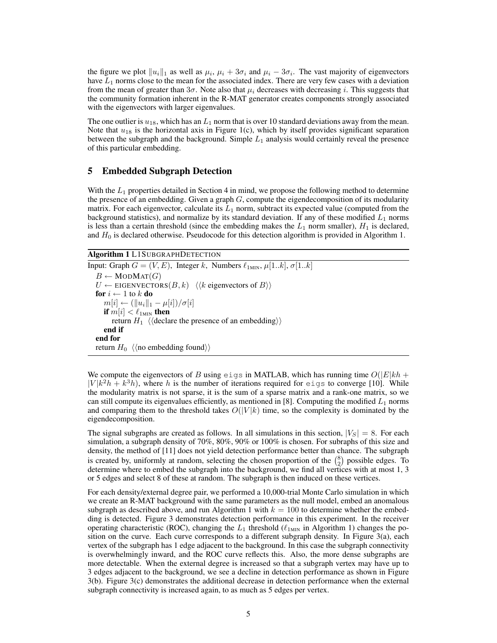the figure we plot  $||u_i||_1$  as well as  $\mu_i$ ,  $\mu_i + 3\sigma_i$  and  $\mu_i - 3\sigma_i$ . The vast majority of eigenvectors have  $L_1$  norms close to the mean for the associated index. There are very few cases with a deviation from the mean of greater than  $3\sigma$ . Note also that  $\mu_i$  decreases with decreasing i. This suggests that the community formation inherent in the R-MAT generator creates components strongly associated with the eigenvectors with larger eigenvalues.

The one outlier is  $u_{18}$ , which has an  $L_1$  norm that is over 10 standard deviations away from the mean. Note that  $u_{18}$  is the horizontal axis in Figure 1(c), which by itself provides significant separation between the subgraph and the background. Simple  $L_1$  analysis would certainly reveal the presence of this particular embedding.

## 5 Embedded Subgraph Detection

With the  $L_1$  properties detailed in Section 4 in mind, we propose the following method to determine the presence of an embedding. Given a graph  $G$ , compute the eigendecomposition of its modularity matrix. For each eigenvector, calculate its  $L_1$  norm, subtract its expected value (computed from the background statistics), and normalize by its standard deviation. If any of these modified  $L_1$  norms is less than a certain threshold (since the embedding makes the  $L_1$  norm smaller),  $H_1$  is declared, and  $H_0$  is declared otherwise. Pseudocode for this detection algorithm is provided in Algorithm 1.

## Algorithm 1 L1SUBGRAPHDETECTION

Input: Graph  $G = (V, E)$ , Integer k, Numbers  $\ell_{1\text{MIN}}, \mu[1..k], \sigma[1..k]$  $B \leftarrow \text{MODMAT}(G)$  $U \leftarrow$  EIGENVECTORS $(B, k)$   $\langle k \rangle$  eigenvectors of  $B \rangle$ for  $i \leftarrow 1$  to  $k$  do  $m[i] \leftarrow (\|u_i\|_1 - \mu[i]) / \sigma[i]$ if  $m[i] < \ell_{\text{1MIN}}$  then return  $H_1$   $\langle$  declare the presence of an embedding $\rangle$ end if end for return  $H_0 \langle \langle$  no embedding found $\rangle$ 

We compute the eigenvectors of B using eigs in MATLAB, which has running time  $O(|E|kh +$  $|V|k^2h + k^3h$ , where h is the number of iterations required for eigs to converge [10]. While the modularity matrix is not sparse, it is the sum of a sparse matrix and a rank-one matrix, so we can still compute its eigenvalues efficiently, as mentioned in [8]. Computing the modified  $L_1$  norms and comparing them to the threshold takes  $O(|V|k)$  time, so the complexity is dominated by the eigendecomposition.

The signal subgraphs are created as follows. In all simulations in this section,  $|V_S| = 8$ . For each simulation, a subgraph density of 70%, 80%, 90% or 100% is chosen. For subraphs of this size and density, the method of [11] does not yield detection performance better than chance. The subgraph is created by, uniformly at random, selecting the chosen proportion of the  $\binom{8}{2}$  possible edges. To determine where to embed the subgraph into the background, we find all vertices with at most 1, 3 or 5 edges and select 8 of these at random. The subgraph is then induced on these vertices.

For each density/external degree pair, we performed a 10,000-trial Monte Carlo simulation in which we create an R-MAT background with the same parameters as the null model, embed an anomalous subgraph as described above, and run Algorithm 1 with  $k = 100$  to determine whether the embedding is detected. Figure 3 demonstrates detection performance in this experiment. In the receiver operating characteristic (ROC), changing the  $L_1$  threshold ( $\ell_{1MIN}$  in Algorithm 1) changes the position on the curve. Each curve corresponds to a different subgraph density. In Figure 3(a), each vertex of the subgraph has 1 edge adjacent to the background. In this case the subgraph connectivity is overwhelmingly inward, and the ROC curve reflects this. Also, the more dense subgraphs are more detectable. When the external degree is increased so that a subgraph vertex may have up to 3 edges adjacent to the background, we see a decline in detection performance as shown in Figure 3(b). Figure 3(c) demonstrates the additional decrease in detection performance when the external subgraph connectivity is increased again, to as much as 5 edges per vertex.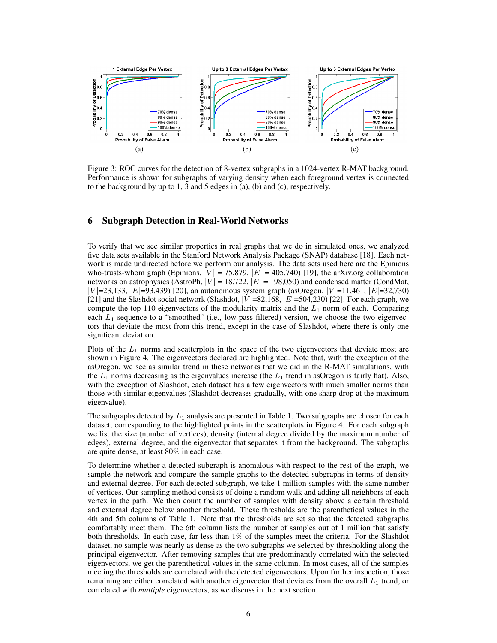

Figure 3: ROC curves for the detection of 8-vertex subgraphs in a 1024-vertex R-MAT background. Performance is shown for subgraphs of varying density when each foreground vertex is connected to the background by up to 1, 3 and 5 edges in (a), (b) and (c), respectively.

# 6 Subgraph Detection in Real-World Networks

To verify that we see similar properties in real graphs that we do in simulated ones, we analyzed five data sets available in the Stanford Network Analysis Package (SNAP) database [18]. Each network is made undirected before we perform our analysis. The data sets used here are the Epinions who-trusts-whom graph (Epinions,  $[V] = 75,879$ ,  $[E] = 405,740$ ) [19], the arXiv.org collaboration networks on astrophysics (AstroPh,  $|V| = 18,722$ ,  $|E| = 198,050$ ) and condensed matter (CondMat,  $|V|$ =23,133,  $|E|$ =93,439) [20], an autonomous system graph (asOregon,  $|V|$ =11,461,  $|E|$ =32,730) [21] and the Slashdot social network (Slashdot,  $|V|$ =82,168,  $|E|$ =504,230) [22]. For each graph, we compute the top 110 eigenvectors of the modularity matrix and the  $L_1$  norm of each. Comparing each  $L_1$  sequence to a "smoothed" (i.e., low-pass filtered) version, we choose the two eigenvectors that deviate the most from this trend, except in the case of Slashdot, where there is only one significant deviation.

Plots of the  $L_1$  norms and scatterplots in the space of the two eigenvectors that deviate most are shown in Figure 4. The eigenvectors declared are highlighted. Note that, with the exception of the asOregon, we see as similar trend in these networks that we did in the R-MAT simulations, with the  $L_1$  norms decreasing as the eigenvalues increase (the  $L_1$  trend in asOregon is fairly flat). Also, with the exception of Slashdot, each dataset has a few eigenvectors with much smaller norms than those with similar eigenvalues (Slashdot decreases gradually, with one sharp drop at the maximum eigenvalue).

The subgraphs detected by  $L_1$  analysis are presented in Table 1. Two subgraphs are chosen for each dataset, corresponding to the highlighted points in the scatterplots in Figure 4. For each subgraph we list the size (number of vertices), density (internal degree divided by the maximum number of edges), external degree, and the eigenvector that separates it from the background. The subgraphs are quite dense, at least 80% in each case.

To determine whether a detected subgraph is anomalous with respect to the rest of the graph, we sample the network and compare the sample graphs to the detected subgraphs in terms of density and external degree. For each detected subgraph, we take 1 million samples with the same number of vertices. Our sampling method consists of doing a random walk and adding all neighbors of each vertex in the path. We then count the number of samples with density above a certain threshold and external degree below another threshold. These thresholds are the parenthetical values in the 4th and 5th columns of Table 1. Note that the thresholds are set so that the detected subgraphs comfortably meet them. The 6th column lists the number of samples out of 1 million that satisfy both thresholds. In each case, far less than 1% of the samples meet the criteria. For the Slashdot dataset, no sample was nearly as dense as the two subgraphs we selected by thresholding along the principal eigenvector. After removing samples that are predominantly correlated with the selected eigenvectors, we get the parenthetical values in the same column. In most cases, all of the samples meeting the thresholds are correlated with the detected eigenvectors. Upon further inspection, those remaining are either correlated with another eigenvector that deviates from the overall  $L_1$  trend, or correlated with *multiple* eigenvectors, as we discuss in the next section.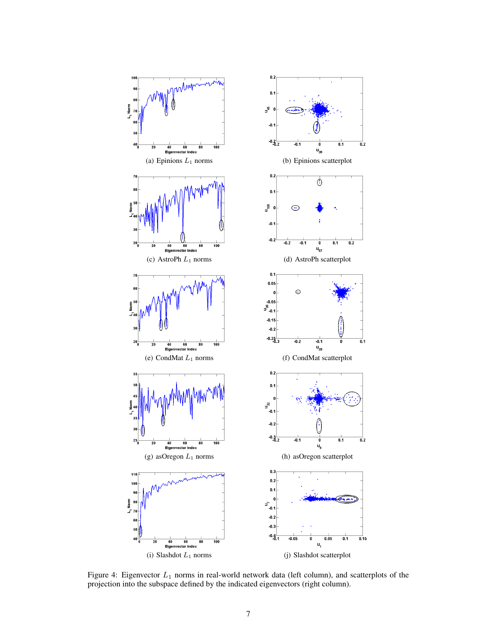

Figure 4: Eigenvector  $L_1$  norms in real-world network data (left column), and scatterplots of the projection into the subspace defined by the indicated eigenvectors (right column).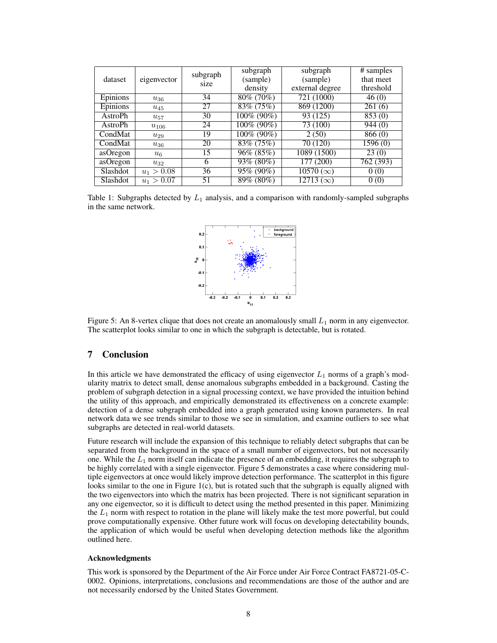|          |              | subgraph | subgraph      | subgraph                              | # samples            |
|----------|--------------|----------|---------------|---------------------------------------|----------------------|
| dataset  | eigenvector  | size     | (sample)      | (sample)                              | that meet            |
|          |              |          | density       | external degree                       | threshold            |
| Epinions | $u_{36}$     | 34       | 80\% (70\%)   | 721(1000)                             | 46(0)                |
| Epinions | $u_{45}$     | 27       | 83\% (75\%)   | 869 (1200)                            | 261(6)               |
| AstroPh  | $u_{57}$     | 30       | $100\%$ (90%) | 93 (125)                              | $\sqrt{853(0)}$      |
| AstroPh  | $u_{106}$    | 24       | 100% (90%)    | $\overline{73(100)}$                  | 944(0)               |
| CondMat  | $u_{29}$     | 19       | 100% (90%)    | 2(50)                                 | 866(0)               |
| CondMat  | $u_{36}$     | 20       | 83\% (75\%)   | 70 (120)                              | $\overline{1596(0)}$ |
| asOregon | $u_{6}$      | 15       | $96\% (85\%)$ | 1089 (1500)                           | 23(0)                |
| asOregon | $u_{32}$     | 6        | 93% (80%)     | $\overline{177}$ (200)                | 762 (393)            |
| Slashdot | $u_1 > 0.08$ | 36       | 95% (90%)     | $\overline{10570\left(\infty\right)}$ | 0(0)                 |
| Slashdot | $u_1 > 0.07$ | 51       | 89% (80%)     | $\overline{12713\left(\infty\right)}$ | 0(0)                 |

Table 1: Subgraphs detected by  $L_1$  analysis, and a comparison with randomly-sampled subgraphs in the same network.



Figure 5: An 8-vertex clique that does not create an anomalously small  $L_1$  norm in any eigenvector. The scatterplot looks similar to one in which the subgraph is detectable, but is rotated.

# 7 Conclusion

In this article we have demonstrated the efficacy of using eigenvector  $L_1$  norms of a graph's modularity matrix to detect small, dense anomalous subgraphs embedded in a background. Casting the problem of subgraph detection in a signal processing context, we have provided the intuition behind the utility of this approach, and empirically demonstrated its effectiveness on a concrete example: detection of a dense subgraph embedded into a graph generated using known parameters. In real network data we see trends similar to those we see in simulation, and examine outliers to see what subgraphs are detected in real-world datasets.

Future research will include the expansion of this technique to reliably detect subgraphs that can be separated from the background in the space of a small number of eigenvectors, but not necessarily one. While the  $L_1$  norm itself can indicate the presence of an embedding, it requires the subgraph to be highly correlated with a single eigenvector. Figure 5 demonstrates a case where considering multiple eigenvectors at once would likely improve detection performance. The scatterplot in this figure looks similar to the one in Figure  $1(c)$ , but is rotated such that the subgraph is equally aligned with the two eigenvectors into which the matrix has been projected. There is not significant separation in any one eigenvector, so it is difficult to detect using the method presented in this paper. Minimizing the  $L_1$  norm with respect to rotation in the plane will likely make the test more powerful, but could prove computationally expensive. Other future work will focus on developing detectability bounds, the application of which would be useful when developing detection methods like the algorithm outlined here.

#### Acknowledgments

This work is sponsored by the Department of the Air Force under Air Force Contract FA8721-05-C-0002. Opinions, interpretations, conclusions and recommendations are those of the author and are not necessarily endorsed by the United States Government.